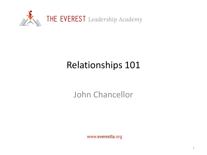

# Relationships 101

John Chancellor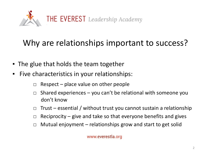

#### Why are relationships important to success?

- The glue that holds the team together
- Five characteristics in your relationships:
	- $\Box$  Respect place value on other people
	- $\Box$  Shared experiences you can't be relational with someone you don't know
	- $\Box$  Trust essential / without trust you cannot sustain a relationship
	- $\Box$  Reciprocity give and take so that everyone benefits and gives
	- $\Box$  Mutual enjoyment relationships grow and start to get solid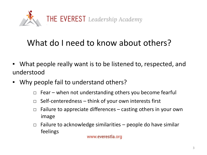

#### What do I need to know about others?

- What people really want is to be listened to, respected, and understood
- Why people fail to understand others?
	- $\Box$  Fear when not understanding others you become fearful
	- $\Box$  Self-centeredness think of your own interests first
	- $\Box$  Failure to appreciate differences casting others in your own image
	- $\Box$  Failure to acknowledge similarities people do have similar feelings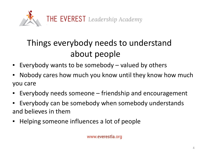

## Things everybody needs to understand about people

- Everybody wants to be somebody valued by others
- Nobody cares how much you know until they know how much you care
- Everybody needs someone friendship and encouragement
- Everybody can be somebody when somebody understands and believes in them
- Helping someone influences a lot of people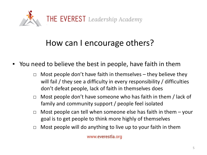

#### How can I encourage others?

- You need to believe the best in people, have faith in them
	- $\Box$  Most people don't have faith in themselves they believe they will fail / they see a difficulty in every responsibility / difficulties don't defeat people, lack of faith in themselves does
	- $\Box$  Most people don't have someone who has faith in them / lack of family and community support / people feel isolated
	- $\Box$  Most people can tell when someone else has faith in them  $-$  your goal is to get people to think more highly of themselves
	- $\Box$  Most people will do anything to live up to your faith in them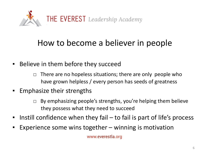

#### How to become a believer in people

- Believe in them before they succeed
	- $\Box$  There are no hopeless situations; there are only people who have grown helpless / every person has seeds of greatness
- Emphasize their strengths
	- $\Box$  By emphasizing people's strengths, you're helping them believe they possess what they need to succeed
- Instill confidence when they fail to fail is part of life's process
- **Experience some wins together winning is motivation**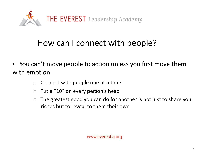

#### How can I connect with people?

- You can't move people to action unless you first move them with emotion
	- $\Box$  Connect with people one at a time
	- $\Box$  Put a "10" on every person's head
	- $\Box$  The greatest good you can do for another is not just to share your riches but to reveal to them their own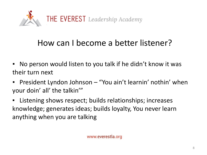

#### How can I become a better listener?

- No person would listen to you talk if he didn't know it was their turn next
- President Lyndon Johnson "You ain't learnin' nothin' when your doin' all' the talkin'"
- Listening shows respect; builds relationships; increases knowledge; generates ideas; builds loyalty, You never learn anything when you are talking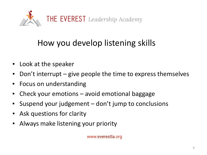

### How you develop listening skills

- Look at the speaker
- Don't interrupt give people the time to express themselves
- Focus on understanding
- Check your emotions avoid emotional baggage
- Suspend your judgement don't jump to conclusions
- **EXECUTE:** Ask questions for clarity
- Always make listening your priority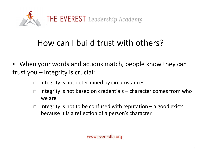

#### How can I build trust with others?

- When your words and actions match, people know they can trust you – integrity is crucial:
	- $\Box$  Integrity is not determined by circumstances
	- $\Box$  Integrity is not based on credentials character comes from who we are
	- $\Box$  Integrity is not to be confused with reputation a good exists because it is a reflection of a person's character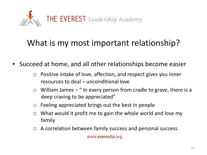

#### What is my most important relationship?

- Succeed at home, and all other relationships become easier
	- $\Box$  Positive intake of love, affection, and respect gives you inner resources to deal – unconditional love
	- $\Box$  William James " In every person from cradle to grave, there is a deep craving to be appreciated"
	- $\Box$  Feeling appreciated brings out the best in people
	- $\Box$  What would it profit me to gain the whole world and lose my family
	- □ A correlation between family success and personal success